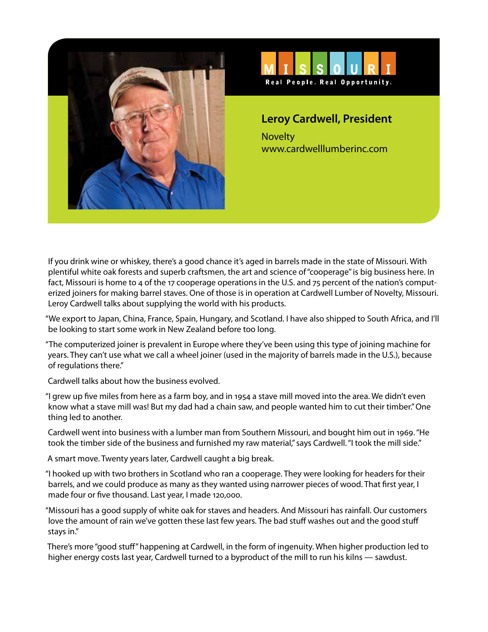



## **Leroy Cardwell, President Novelty** www.cardwelllumberinc.com

If you drink wine or whiskey, there's a good chance it's aged in barrels made in the state of Missouri. With plentiful white oak forests and superb craftsmen, the art and science of "cooperage" is big business here. In fact, Missouri is home to 4 of the 17 cooperage operations in the U.S. and 75 percent of the nation's computerized joiners for making barrel staves. One of those is in operation at Cardwell Lumber of Novelty, Missouri. Leroy Cardwell talks about supplying the world with his products.

"We export to Japan, China, France, Spain, Hungary, and Scotland. I have also shipped to South Africa, and I'll be looking to start some work in New Zealand before too long.

"The computerized joiner is prevalent in Europe where they've been using this type of joining machine for years. They can't use what we call a wheel joiner (used in the majority of barrels made in the U.S.), because of regulations there."

Cardwell talks about how the business evolved.

"I grew up five miles from here as a farm boy, and in 1954 a stave mill moved into the area. We didn't even know what a stave mill was! But my dad had a chain saw, and people wanted him to cut their timber." One thing led to another.

Cardwell went into business with a lumber man from Southern Missouri, and bought him out in 1969. "He took the timber side of the business and furnished my raw material," says Cardwell. "I took the mill side."

A smart move. Twenty years later, Cardwell caught a big break.

"I hooked up with two brothers in Scotland who ran a cooperage. They were looking for headers for their barrels, and we could produce as many as they wanted using narrower pieces of wood. That first year, I made four or five thousand. Last year, I made 120,000.

"Missouri has a good supply of white oak for staves and headers. And Missouri has rainfall. Our customers love the amount of rain we've gotten these last few years. The bad stuff washes out and the good stuff stays in."

There's more "good stuff" happening at Cardwell, in the form of ingenuity. When higher production led to higher energy costs last year, Cardwell turned to a byproduct of the mill to run his kilns — sawdust.